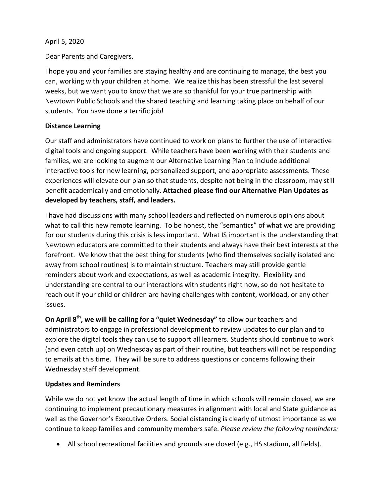## April 5, 2020

Dear Parents and Caregivers,

I hope you and your families are staying healthy and are continuing to manage, the best you can, working with your children at home. We realize this has been stressful the last several weeks, but we want you to know that we are so thankful for your true partnership with Newtown Public Schools and the shared teaching and learning taking place on behalf of our students. You have done a terrific job!

## **Distance Learning**

Our staff and administrators have continued to work on plans to further the use of interactive digital tools and ongoing support. While teachers have been working with their students and families, we are looking to augment our Alternative Learning Plan to include additional interactive tools for new learning, personalized support, and appropriate assessments. These experiences will elevate our plan so that students, despite not being in the classroom, may still benefit academically and emotionally. **Attached please find our Alternative Plan Updates as developed by teachers, staff, and leaders.** 

I have had discussions with many school leaders and reflected on numerous opinions about what to call this new remote learning. To be honest, the "semantics" of what we are providing for our students during this crisis is less important. What IS important is the understanding that Newtown educators are committed to their students and always have their best interests at the forefront. We know that the best thing for students (who find themselves socially isolated and away from school routines) is to maintain structure. Teachers may still provide gentle reminders about work and expectations, as well as academic integrity. Flexibility and understanding are central to our interactions with students right now, so do not hesitate to reach out if your child or children are having challenges with content, workload, or any other issues.

**On April 8th, we will be calling for a "quiet Wednesday"** to allow our teachers and administrators to engage in professional development to review updates to our plan and to explore the digital tools they can use to support all learners. Students should continue to work (and even catch up) on Wednesday as part of their routine, but teachers will not be responding to emails at this time. They will be sure to address questions or concerns following their Wednesday staff development.

## **Updates and Reminders**

While we do not yet know the actual length of time in which schools will remain closed, we are continuing to implement precautionary measures in alignment with local and State guidance as well as the Governor's Executive Orders. Social distancing is clearly of utmost importance as we continue to keep families and community members safe. *Please review the following reminders:*

• All school recreational facilities and grounds are closed (e.g., HS stadium, all fields).